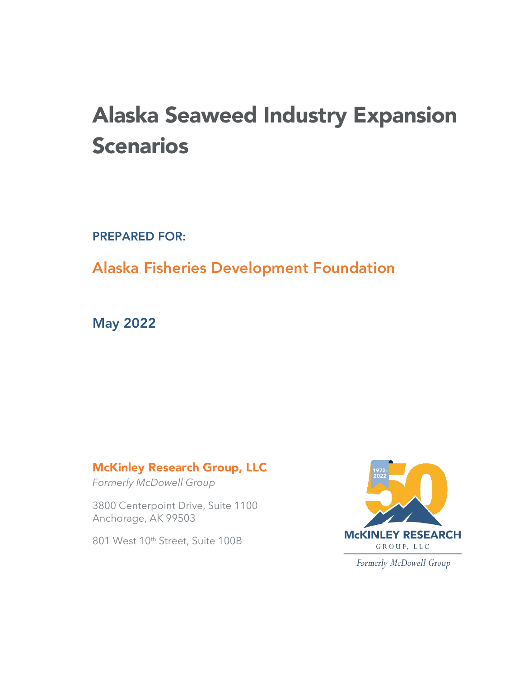# Alaska Seaweed Industry Expansion **Scenarios**

PREPARED FOR:

# Alaska Fisheries Development Foundation

May 2022

## McKinley Research Group, LLC

*Formerly McDowell Group*

3800 Centerpoint Drive, Suite 1100 Anchorage, AK 99503

801 West 10th Street, Suite 100B



Formerly McDowell Group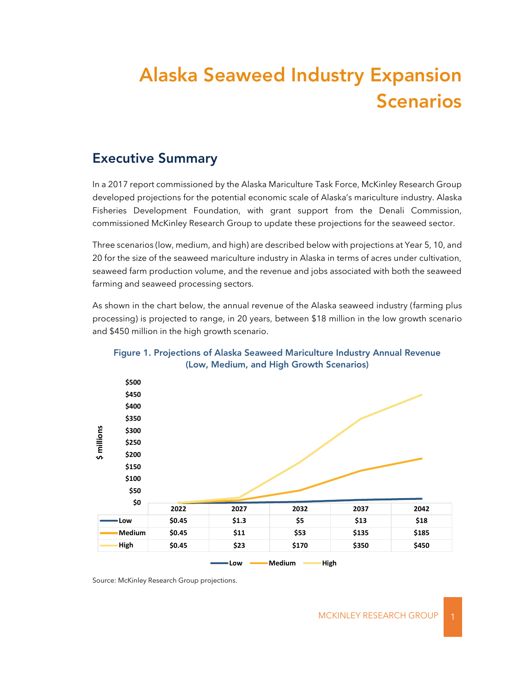# Alaska Seaweed Industry Expansion Scenarios

## Executive Summary

In a 2017 report commissioned by the Alaska Mariculture Task Force, McKinley Research Group developed projections for the potential economic scale of Alaska's mariculture industry. Alaska Fisheries Development Foundation, with grant support from the Denali Commission, commissioned McKinley Research Group to update these projections for the seaweed sector.

Three scenarios (low, medium, and high) are described below with projections at Year 5, 10, and 20 for the size of the seaweed mariculture industry in Alaska in terms of acres under cultivation, seaweed farm production volume, and the revenue and jobs associated with both the seaweed farming and seaweed processing sectors.

As shown in the chart below, the annual revenue of the Alaska seaweed industry (farming plus processing) is projected to range, in 20 years, between \$18 million in the low growth scenario and \$450 million in the high growth scenario.



#### Figure 1. Projections of Alaska Seaweed Mariculture Industry Annual Revenue (Low, Medium, and High Growth Scenarios)

Source: McKinley Research Group projections.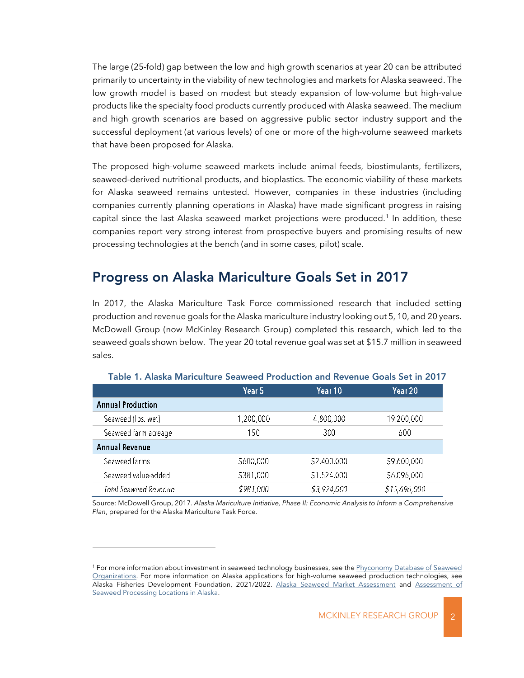The large (25-fold) gap between the low and high growth scenarios at year 20 can be attributed primarily to uncertainty in the viability of new technologies and markets for Alaska seaweed. The low growth model is based on modest but steady expansion of low-volume but high-value products like the specialty food products currently produced with Alaska seaweed. The medium and high growth scenarios are based on aggressive public sector industry support and the successful deployment (at various levels) of one or more of the high-volume seaweed markets that have been proposed for Alaska.

The proposed high-volume seaweed markets include animal feeds, biostimulants, fertilizers, seaweed-derived nutritional products, and bioplastics. The economic viability of these markets for Alaska seaweed remains untested. However, companies in these industries (including companies currently planning operations in Alaska) have made significant progress in raising capital since the last Alaska seaweed market projections were produced.<sup>1</sup> In addition, these companies report very strong interest from prospective buyers and promising results of new processing technologies at the bench (and in some cases, pilot) scale.

## Progress on Alaska Mariculture Goals Set in 2017

In 2017, the Alaska Mariculture Task Force commissioned research that included setting production and revenue goals for the Alaska mariculture industry looking out 5, 10, and 20 years. McDowell Group (now McKinley Research Group) completed this research, which led to the seaweed goals shown below. The year 20 total revenue goal was set at \$15.7 million in seaweed sales.

|                          | Year 5    | Year 10.    | Year 20.     |
|--------------------------|-----------|-------------|--------------|
| <b>Annual Production</b> |           |             |              |
| Seaweed (lbs. wet)       | 1,200,000 | 4,800,000   | 19,200,000   |
| Seaweed farm acreage     | 150       | 300         | 600          |
| Annual Revenue           |           |             |              |
| Seaweed farms            | 5600.000  | \$2,400,000 | \$9,600,000  |
| Seaweed value-added      | 5381,000  | 51,524,000  | \$6,096,000  |
| Total Seaweed Revenue    | \$981,000 | \$3,924,000 | \$15,696,000 |

#### Table 1. Alaska Mariculture Seaweed Production and Revenue Goals Set in 2017

Source: McDowell Group, 2017. *Alaska Mariculture Initiative, Phase II: Economic Analysis to Inform a Comprehensive Plan*, prepared for the Alaska Mariculture Task Force.

<sup>&</sup>lt;sup>1</sup> For more information about investment in seaweed technology businesses, see the Phyconomy Database of Seaweed [Organizations.](https://phyconomy.net/database) For more information on Alaska applications for high-volume seaweed production technologies, see Alaska Fisheries Development Foundation, 2021/2022. [Alaska Seaweed Market Assessment](https://www.afdf.org/wp-content/uploads/Alaska-Seaweed-Market-Assessment-2021-08-FINAL.pdf) and Assessment of [Seaweed Processing Locations in Alaska.](https://www.afdf.org/wp-content/uploads/Assessment-of-Alaska-Seaweed-Processing-Locations-FINAL-2022-01-26.pdf)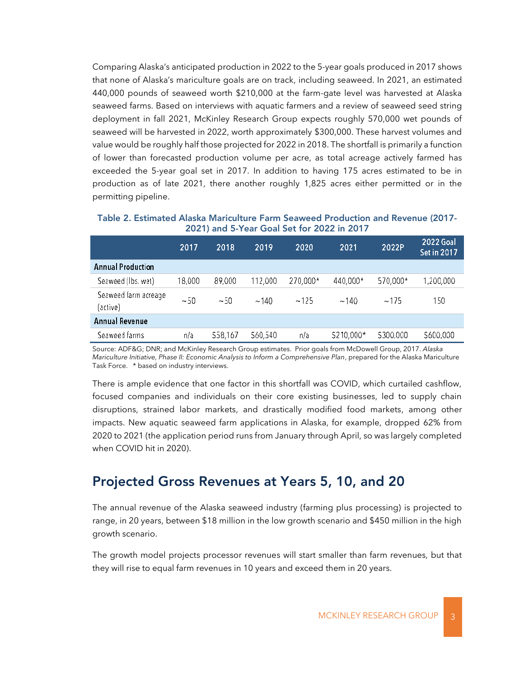Comparing Alaska's anticipated production in 2022 to the 5-year goals produced in 2017 shows that none of Alaska's mariculture goals are on track, including seaweed. In 2021, an estimated 440,000 pounds of seaweed worth \$210,000 at the farm-gate level was harvested at Alaska seaweed farms. Based on interviews with aquatic farmers and a review of seaweed seed string deployment in fall 2021, McKinley Research Group expects roughly 570,000 wet pounds of seaweed will be harvested in 2022, worth approximately \$300,000. These harvest volumes and value would be roughly half those projected for 2022 in 2018. The shortfall is primarily a function of lower than forecasted production volume per acre, as total acreage actively farmed has exceeded the 5-year goal set in 2017. In addition to having 175 acres estimated to be in production as of late 2021, there another roughly 1,825 acres either permitted or in the permitting pipeline.

Table 2. Estimated Alaska Mariculture Farm Seaweed Production and Revenue (2017- 2021) and 5-Year Goal Set for 2022 in 2017

|                                  | 2017   | 2018    | 2019     | 2020     | 2021       | 2022P    | 2022 Goal<br><b>Set in 2017</b> |
|----------------------------------|--------|---------|----------|----------|------------|----------|---------------------------------|
| <b>Annual Production</b>         |        |         |          |          |            |          |                                 |
| Seaweed (lbs. wet)               | 18,000 | 89,000  | 112,000  | 270,000* | 440,000*   | 570,000* | 1,200,000                       |
| Seaweed farm acreage<br>(active) | ~1.50  | ~1.50   | ~140     | ~125     | ~140       | ~175     | 150                             |
| <b>Annual Revenue</b>            |        |         |          |          |            |          |                                 |
| Seaweed farms                    | n/a    | 558,167 | \$60,540 | n/a      | \$210,000* | 5300,000 | 5600,000                        |

Source: ADF&G; DNR; and McKinley Research Group estimates. Prior goals from McDowell Group, 2017. *Alaska Mariculture Initiative, Phase II: Economic Analysis to Inform a Comprehensive Plan*, prepared for the Alaska Mariculture Task Force. \* based on industry interviews.

There is ample evidence that one factor in this shortfall was COVID, which curtailed cashflow, focused companies and individuals on their core existing businesses, led to supply chain disruptions, strained labor markets, and drastically modified food markets, among other impacts. New aquatic seaweed farm applications in Alaska, for example, dropped 62% from 2020 to 2021 (the application period runs from January through April, so was largely completed when COVID hit in 2020).

## Projected Gross Revenues at Years 5, 10, and 20

The annual revenue of the Alaska seaweed industry (farming plus processing) is projected to range, in 20 years, between \$18 million in the low growth scenario and \$450 million in the high growth scenario.

The growth model projects processor revenues will start smaller than farm revenues, but that they will rise to equal farm revenues in 10 years and exceed them in 20 years.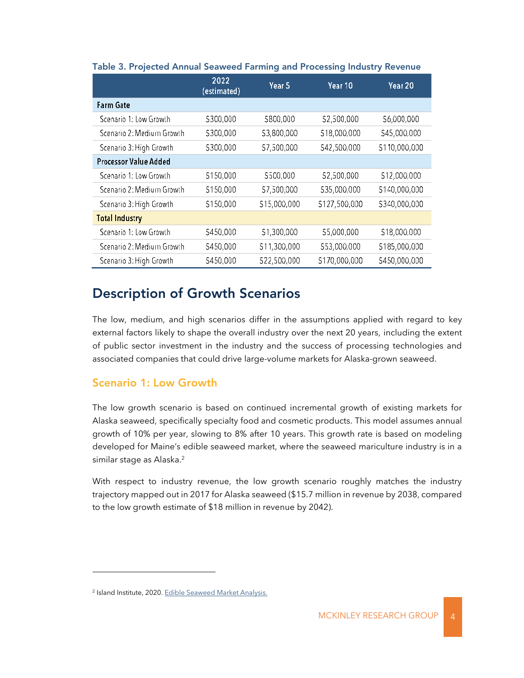|                              | 2022<br>(estimated) | Year <sub>5</sub> | Year 10       | Year 20       |
|------------------------------|---------------------|-------------------|---------------|---------------|
| <b>Farm Gate</b>             |                     |                   |               |               |
| Scenario 1: Low Growth       | \$300,000           | 5800,000          | \$2,500,000   | \$6,000,000   |
| Scenario 2: Medium Growth    | \$300,000           | \$3,800,000       | \$18,000,000  | \$45,000,000  |
| Scenario 3: High Growth      | \$300,000           | \$7,500,000       | \$42,500,000  | \$110,000,000 |
| <b>Processor Value Added</b> |                     |                   |               |               |
| Scenario 1: Low Growth       | \$150,000           | \$500,000         | \$2,500,000   | \$12,000,000  |
| Scenario 2: Medium Growth    | \$150,000           | \$7,500,000       | \$35,000,000  | \$140,000,000 |
| Scenario 3: High Growth      | \$150,000           | \$15,000,000      | \$127,500,000 | \$340,000,000 |
| <b>Total Industry</b>        |                     |                   |               |               |
| Scenario 1: Low Growth       | \$450,000           | \$1,300,000       | \$5,000,000   | \$18,000,000  |
| Scenario 2: Medium Growth    | \$450,000           | \$11,300,000      | \$53,000,000  | \$185,000,000 |
| Scenario 3: High Growth      | \$450,000           | \$22,500,000      | \$170,000,000 | \$450,000,000 |

#### Table 3. Projected Annual Seaweed Farming and Processing Industry Revenue

## Description of Growth Scenarios

The low, medium, and high scenarios differ in the assumptions applied with regard to key external factors likely to shape the overall industry over the next 20 years, including the extent of public sector investment in the industry and the success of processing technologies and associated companies that could drive large-volume markets for Alaska-grown seaweed.

#### Scenario 1: Low Growth

The low growth scenario is based on continued incremental growth of existing markets for Alaska seaweed, specifically specialty food and cosmetic products. This model assumes annual growth of 10% per year, slowing to 8% after 10 years. This growth rate is based on modeling developed for Maine's edible seaweed market, where the seaweed mariculture industry is in a similar stage as Alaska.<sup>2</sup>

With respect to industry revenue, the low growth scenario roughly matches the industry trajectory mapped out in 2017 for Alaska seaweed (\$15.7 million in revenue by 2038, compared to the low growth estimate of \$18 million in revenue by 2042).

<sup>&</sup>lt;sup>2</sup> Island Institute, 2020[. Edible Seaweed Market Analysis.](https://www.islandinstitute.org/wp-content/uploads/2020/09/Edible-Seaweed-Market-Analysis-1.17.20.pdf)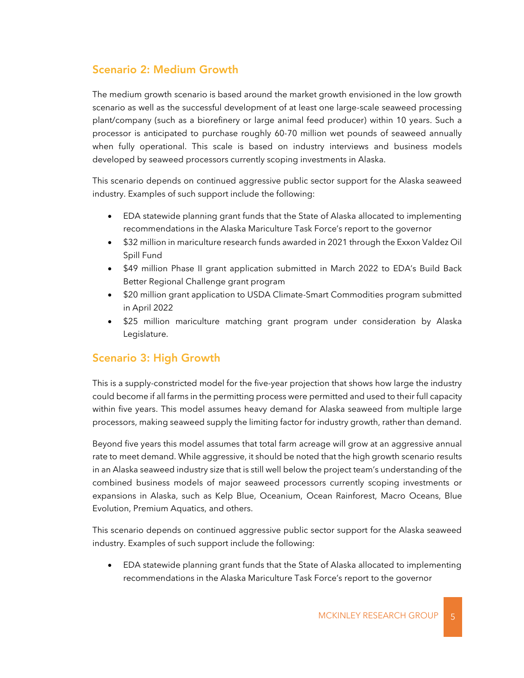### Scenario 2: Medium Growth

The medium growth scenario is based around the market growth envisioned in the low growth scenario as well as the successful development of at least one large-scale seaweed processing plant/company (such as a biorefinery or large animal feed producer) within 10 years. Such a processor is anticipated to purchase roughly 60-70 million wet pounds of seaweed annually when fully operational. This scale is based on industry interviews and business models developed by seaweed processors currently scoping investments in Alaska.

This scenario depends on continued aggressive public sector support for the Alaska seaweed industry. Examples of such support include the following:

- EDA statewide planning grant funds that the State of Alaska allocated to implementing recommendations in the Alaska Mariculture Task Force's report to the governor
- \$32 million in mariculture research funds awarded in 2021 through the Exxon Valdez Oil Spill Fund
- \$49 million Phase II grant application submitted in March 2022 to EDA's Build Back Better Regional Challenge grant program
- \$20 million grant application to USDA Climate-Smart Commodities program submitted in April 2022
- \$25 million mariculture matching grant program under consideration by Alaska Legislature.

#### Scenario 3: High Growth

This is a supply-constricted model for the five-year projection that shows how large the industry could become if all farms in the permitting process were permitted and used to their full capacity within five years. This model assumes heavy demand for Alaska seaweed from multiple large processors, making seaweed supply the limiting factor for industry growth, rather than demand.

Beyond five years this model assumes that total farm acreage will grow at an aggressive annual rate to meet demand. While aggressive, it should be noted that the high growth scenario results in an Alaska seaweed industry size that is still well below the project team's understanding of the combined business models of major seaweed processors currently scoping investments or expansions in Alaska, such as Kelp Blue, Oceanium, Ocean Rainforest, Macro Oceans, Blue Evolution, Premium Aquatics, and others.

This scenario depends on continued aggressive public sector support for the Alaska seaweed industry. Examples of such support include the following:

• EDA statewide planning grant funds that the State of Alaska allocated to implementing recommendations in the Alaska Mariculture Task Force's report to the governor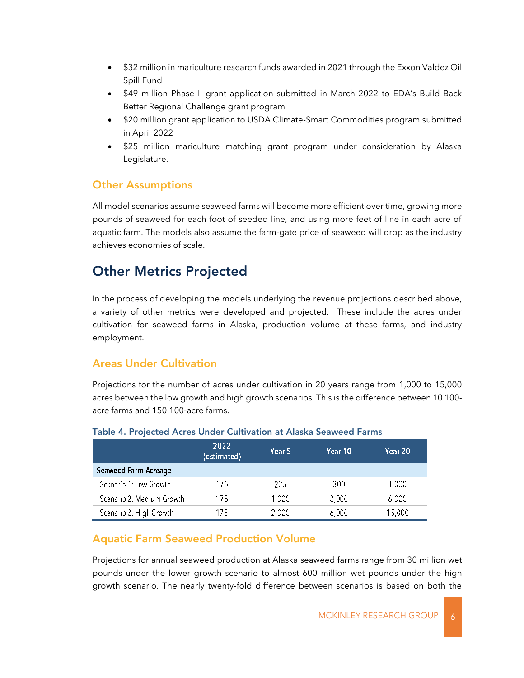- \$32 million in mariculture research funds awarded in 2021 through the Exxon Valdez Oil Spill Fund
- \$49 million Phase II grant application submitted in March 2022 to EDA's Build Back Better Regional Challenge grant program
- \$20 million grant application to USDA Climate-Smart Commodities program submitted in April 2022
- \$25 million mariculture matching grant program under consideration by Alaska Legislature.

### Other Assumptions

All model scenarios assume seaweed farms will become more efficient over time, growing more pounds of seaweed for each foot of seeded line, and using more feet of line in each acre of aquatic farm. The models also assume the farm-gate price of seaweed will drop as the industry achieves economies of scale.

## Other Metrics Projected

In the process of developing the models underlying the revenue projections described above, a variety of other metrics were developed and projected. These include the acres under cultivation for seaweed farms in Alaska, production volume at these farms, and industry employment.

## Areas Under Cultivation

Projections for the number of acres under cultivation in 20 years range from 1,000 to 15,000 acres between the low growth and high growth scenarios. This is the difference between 10 100 acre farms and 150 100-acre farms.

|                             | 2022<br>(estimated) | Year 5 | Year 10 | Year 20 |
|-----------------------------|---------------------|--------|---------|---------|
| <b>Seaweed Farm Acreage</b> |                     |        |         |         |
| Scenario 1: Low Growth      | 175                 | 225    | 300     | 1.000   |
| Scenario 2: Medium Growth   | 175                 | 1.000  | 3,000   | 6.000   |
| Scenario 3: High Growth     | 175                 | 2,000  | 6.000   | 15,000  |

#### Table 4. Projected Acres Under Cultivation at Alaska Seaweed Farms

### Aquatic Farm Seaweed Production Volume

Projections for annual seaweed production at Alaska seaweed farms range from 30 million wet pounds under the lower growth scenario to almost 600 million wet pounds under the high growth scenario. The nearly twenty-fold difference between scenarios is based on both the